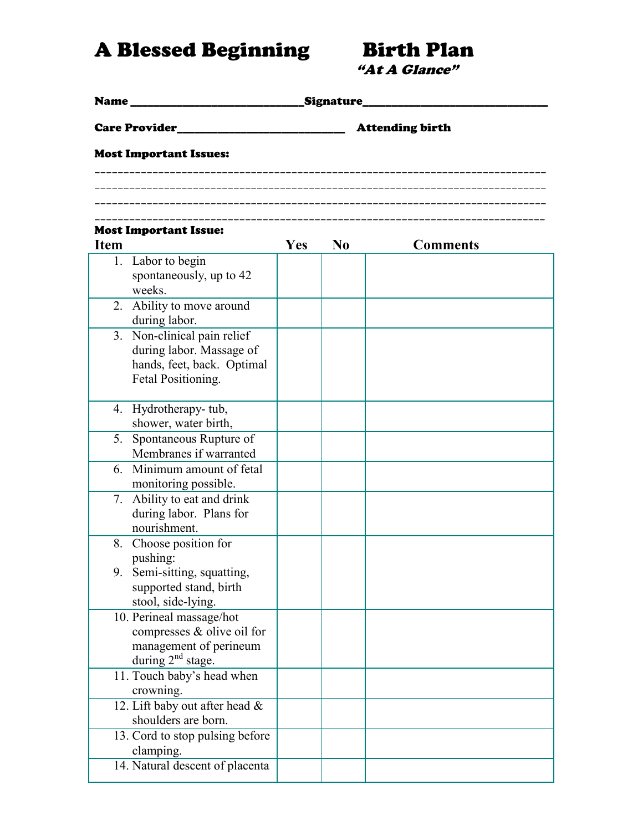A Blessed Beginning Birth Plan

"At A Glance"

| _Signature_<br><b>Name</b>                                                                                  |     |                |                        |  |  |
|-------------------------------------------------------------------------------------------------------------|-----|----------------|------------------------|--|--|
| <b>Care Provider</b>                                                                                        |     |                | <b>Attending birth</b> |  |  |
| <b>Most Important Issues:</b>                                                                               |     |                |                        |  |  |
|                                                                                                             |     |                |                        |  |  |
|                                                                                                             |     |                |                        |  |  |
| <b>Most Important Issue:</b><br><b>Item</b>                                                                 | Yes | N <sub>0</sub> | <b>Comments</b>        |  |  |
| 1. Labor to begin<br>spontaneously, up to 42<br>weeks.                                                      |     |                |                        |  |  |
| 2. Ability to move around<br>during labor.                                                                  |     |                |                        |  |  |
| 3. Non-clinical pain relief<br>during labor. Massage of<br>hands, feet, back. Optimal<br>Fetal Positioning. |     |                |                        |  |  |
| 4. Hydrotherapy-tub,<br>shower, water birth,                                                                |     |                |                        |  |  |
| 5. Spontaneous Rupture of<br>Membranes if warranted                                                         |     |                |                        |  |  |
| 6. Minimum amount of fetal<br>monitoring possible.                                                          |     |                |                        |  |  |
| 7. Ability to eat and drink<br>during labor. Plans for<br>nourishment.                                      |     |                |                        |  |  |
| 8. Choose position for<br>pushing:                                                                          |     |                |                        |  |  |
| 9. Semi-sitting, squatting,<br>supported stand, birth<br>stool, side-lying.                                 |     |                |                        |  |  |
| 10. Perineal massage/hot<br>compresses $&$ olive oil for<br>management of perineum<br>during $2nd$ stage.   |     |                |                        |  |  |
| 11. Touch baby's head when<br>crowning.                                                                     |     |                |                        |  |  |
| 12. Lift baby out after head &<br>shoulders are born.                                                       |     |                |                        |  |  |
| 13. Cord to stop pulsing before<br>clamping.                                                                |     |                |                        |  |  |
| 14. Natural descent of placenta                                                                             |     |                |                        |  |  |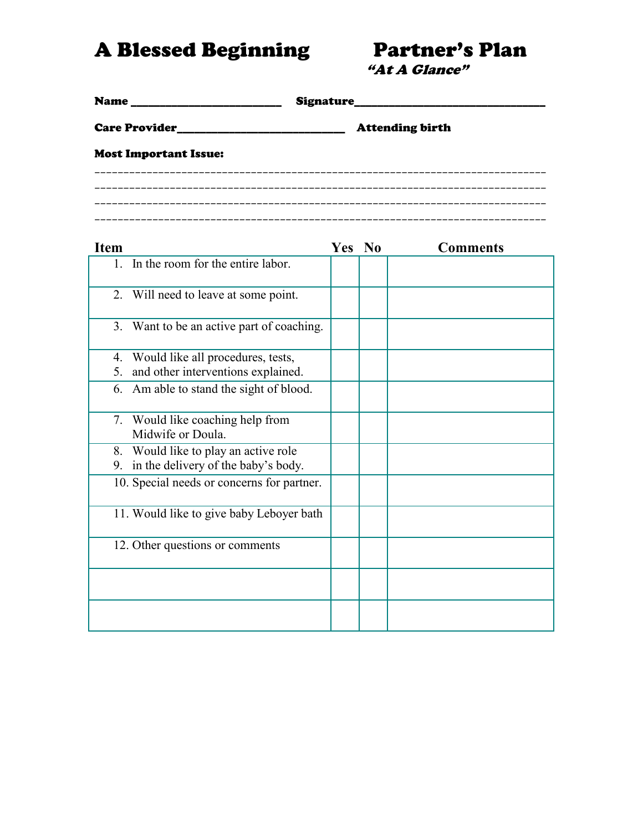A Blessed Beginning Partner's Plan

"At A Glance"

| <b>Name</b>                  |                        |  |  |  |
|------------------------------|------------------------|--|--|--|
|                              | <b>Attending birth</b> |  |  |  |
| <b>Most Important Issue:</b> |                        |  |  |  |
|                              |                        |  |  |  |
|                              |                        |  |  |  |

| <b>Item</b>                                                                       | Yes No | <b>Comments</b> |
|-----------------------------------------------------------------------------------|--------|-----------------|
| In the room for the entire labor.<br>$\mathbf{1}$ .                               |        |                 |
| 2. Will need to leave at some point.                                              |        |                 |
| 3. Want to be an active part of coaching.                                         |        |                 |
| 4. Would like all procedures, tests,<br>and other interventions explained.<br>5.  |        |                 |
| 6. Am able to stand the sight of blood.                                           |        |                 |
| 7. Would like coaching help from<br>Midwife or Doula.                             |        |                 |
| 8. Would like to play an active role<br>in the delivery of the baby's body.<br>9. |        |                 |
| 10. Special needs or concerns for partner.                                        |        |                 |
| 11. Would like to give baby Leboyer bath                                          |        |                 |
| 12. Other questions or comments                                                   |        |                 |
|                                                                                   |        |                 |
|                                                                                   |        |                 |